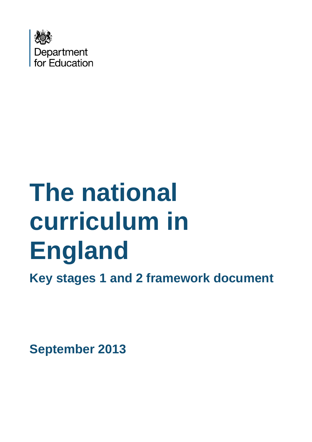

# **The national curriculum in England**

**Key stages 1 and 2 framework document**

**September 2013**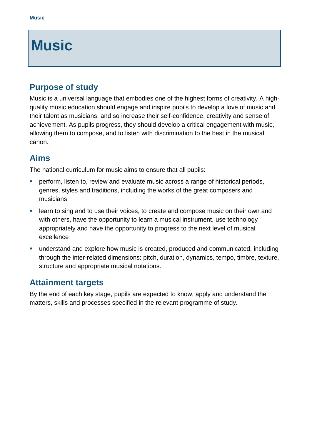# **Music**

### **Purpose of study**

Music is a universal language that embodies one of the highest forms of creativity. A highquality music education should engage and inspire pupils to develop a love of music and their talent as musicians, and so increase their self-confidence, creativity and sense of achievement. As pupils progress, they should develop a critical engagement with music, allowing them to compose, and to listen with discrimination to the best in the musical canon.

### **Aims**

The national curriculum for music aims to ensure that all pupils:

- **•** perform, listen to, review and evaluate music across a range of historical periods, genres, styles and traditions, including the works of the great composers and musicians
- **EXT** learn to sing and to use their voices, to create and compose music on their own and with others, have the opportunity to learn a musical instrument, use technology appropriately and have the opportunity to progress to the next level of musical excellence
- understand and explore how music is created, produced and communicated, including through the inter-related dimensions: pitch, duration, dynamics, tempo, timbre, texture, structure and appropriate musical notations.

## **Attainment targets**

By the end of each key stage, pupils are expected to know, apply and understand the matters, skills and processes specified in the relevant programme of study.